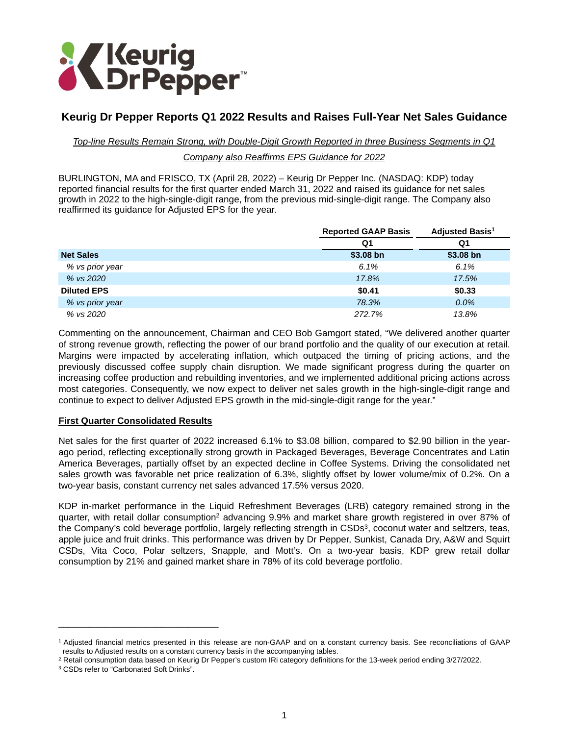

# **Keurig Dr Pepper Reports Q1 2022 Results and Raises Full-Year Net Sales Guidance**

### *Top-line Results Remain Strong, with Double-Digit Growth Reported in three Business Segments in Q1*

### *Company also Reaffirms EPS Guidance for 2022*

BURLINGTON, MA and FRISCO, TX (April 28, 2022) – Keurig Dr Pepper Inc. (NASDAQ: KDP) today reported financial results for the first quarter ended March 31, 2022 and raised its guidance for net sales growth in 2022 to the high-single-digit range, from the previous mid-single-digit range. The Company also reaffirmed its guidance for Adjusted EPS for the year.

|                    | <b>Reported GAAP Basis</b> | <b>Adjusted Basis<sup>1</sup></b> |
|--------------------|----------------------------|-----------------------------------|
|                    | Q1                         | Q1                                |
| <b>Net Sales</b>   | $$3.08$ bn                 | $$3.08$ bn                        |
| % vs prior year    | 6.1%                       | 6.1%                              |
| % vs 2020          | 17.8%                      | 17.5%                             |
| <b>Diluted EPS</b> | \$0.41                     | \$0.33                            |
| % vs prior year    | 78.3%                      | 0.0%                              |
| % vs 2020          | 272.7%                     | 13.8%                             |

Commenting on the announcement, Chairman and CEO Bob Gamgort stated, "We delivered another quarter of strong revenue growth, reflecting the power of our brand portfolio and the quality of our execution at retail. Margins were impacted by accelerating inflation, which outpaced the timing of pricing actions, and the previously discussed coffee supply chain disruption. We made significant progress during the quarter on increasing coffee production and rebuilding inventories, and we implemented additional pricing actions across most categories. Consequently, we now expect to deliver net sales growth in the high-single-digit range and continue to expect to deliver Adjusted EPS growth in the mid-single-digit range for the year."

## **First Quarter Consolidated Results**

Net sales for the first quarter of 2022 increased 6.1% to \$3.08 billion, compared to \$2.90 billion in the yearago period, reflecting exceptionally strong growth in Packaged Beverages, Beverage Concentrates and Latin America Beverages, partially offset by an expected decline in Coffee Systems. Driving the consolidated net sales growth was favorable net price realization of 6.3%, slightly offset by lower volume/mix of 0.2%. On a two-year basis, constant currency net sales advanced 17.5% versus 2020.

KDP in-market performance in the Liquid Refreshment Beverages (LRB) category remained strong in the quarter, with retail dollar consumption<sup>2</sup> advancing 9.9% and market share growth registered in over 87% of the Company's cold beverage portfolio, largely reflecting strength in CSDs<sup>3</sup>, coconut water and seltzers, teas, apple juice and fruit drinks. This performance was driven by Dr Pepper, Sunkist, Canada Dry, A&W and Squirt CSDs, Vita Coco, Polar seltzers, Snapple, and Mott's. On a two-year basis, KDP grew retail dollar consumption by 21% and gained market share in 78% of its cold beverage portfolio.

\_\_\_\_\_\_\_\_\_\_\_\_\_\_\_\_\_\_\_\_\_\_\_\_\_\_\_\_\_\_\_

<sup>1</sup> Adjusted financial metrics presented in this release are non-GAAP and on a constant currency basis. See reconciliations of GAAP results to Adjusted results on a constant currency basis in the accompanying tables.

<sup>&</sup>lt;sup>2</sup> Retail consumption data based on Keurig Dr Pepper's custom IRi category definitions for the 13-week period ending 3/27/2022.

<sup>3</sup> CSDs refer to "Carbonated Soft Drinks".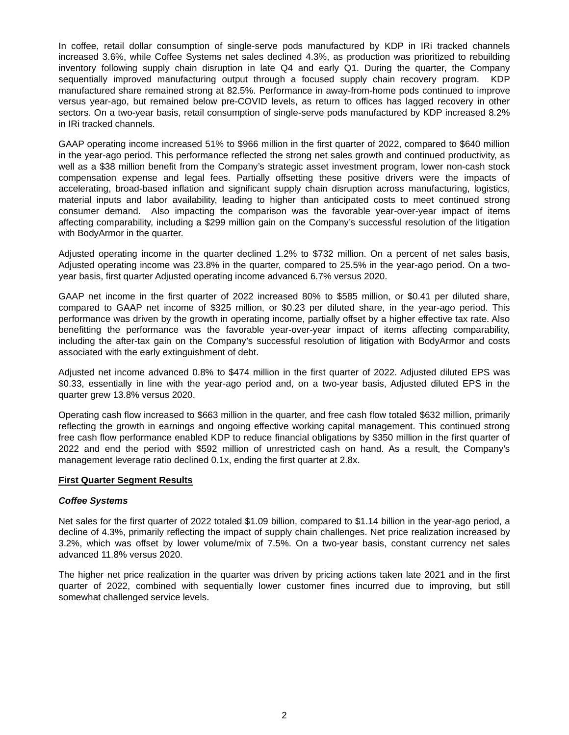In coffee, retail dollar consumption of single-serve pods manufactured by KDP in IRi tracked channels increased 3.6%, while Coffee Systems net sales declined 4.3%, as production was prioritized to rebuilding inventory following supply chain disruption in late Q4 and early Q1. During the quarter, the Company sequentially improved manufacturing output through a focused supply chain recovery program. KDP manufactured share remained strong at 82.5%. Performance in away-from-home pods continued to improve versus year-ago, but remained below pre-COVID levels, as return to offices has lagged recovery in other sectors. On a two-year basis, retail consumption of single-serve pods manufactured by KDP increased 8.2% in IRi tracked channels.

GAAP operating income increased 51% to \$966 million in the first quarter of 2022, compared to \$640 million in the year-ago period. This performance reflected the strong net sales growth and continued productivity, as well as a \$38 million benefit from the Company's strategic asset investment program, lower non-cash stock compensation expense and legal fees. Partially offsetting these positive drivers were the impacts of accelerating, broad-based inflation and significant supply chain disruption across manufacturing, logistics, material inputs and labor availability, leading to higher than anticipated costs to meet continued strong consumer demand. Also impacting the comparison was the favorable year-over-year impact of items affecting comparability, including a \$299 million gain on the Company's successful resolution of the litigation with BodyArmor in the quarter.

Adjusted operating income in the quarter declined 1.2% to \$732 million. On a percent of net sales basis, Adjusted operating income was 23.8% in the quarter, compared to 25.5% in the year-ago period. On a twoyear basis, first quarter Adjusted operating income advanced 6.7% versus 2020.

GAAP net income in the first quarter of 2022 increased 80% to \$585 million, or \$0.41 per diluted share, compared to GAAP net income of \$325 million, or \$0.23 per diluted share, in the year-ago period. This performance was driven by the growth in operating income, partially offset by a higher effective tax rate. Also benefitting the performance was the favorable year-over-year impact of items affecting comparability, including the after-tax gain on the Company's successful resolution of litigation with BodyArmor and costs associated with the early extinguishment of debt.

Adjusted net income advanced 0.8% to \$474 million in the first quarter of 2022. Adjusted diluted EPS was \$0.33, essentially in line with the year-ago period and, on a two-year basis, Adjusted diluted EPS in the quarter grew 13.8% versus 2020.

Operating cash flow increased to \$663 million in the quarter, and free cash flow totaled \$632 million, primarily reflecting the growth in earnings and ongoing effective working capital management. This continued strong free cash flow performance enabled KDP to reduce financial obligations by \$350 million in the first quarter of 2022 and end the period with \$592 million of unrestricted cash on hand. As a result, the Company's management leverage ratio declined 0.1x, ending the first quarter at 2.8x.

### **First Quarter Segment Results**

### *Coffee Systems*

Net sales for the first quarter of 2022 totaled \$1.09 billion, compared to \$1.14 billion in the year-ago period, a decline of 4.3%, primarily reflecting the impact of supply chain challenges. Net price realization increased by 3.2%, which was offset by lower volume/mix of 7.5%. On a two-year basis, constant currency net sales advanced 11.8% versus 2020.

The higher net price realization in the quarter was driven by pricing actions taken late 2021 and in the first quarter of 2022, combined with sequentially lower customer fines incurred due to improving, but still somewhat challenged service levels.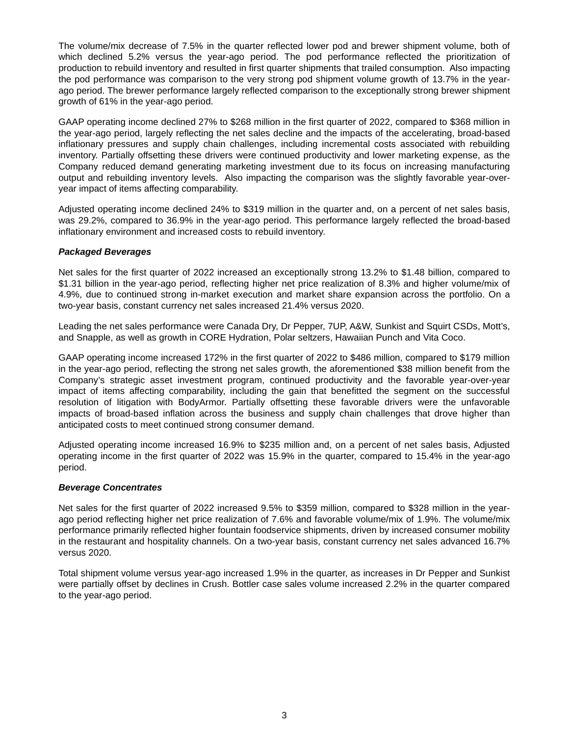The volume/mix decrease of 7.5% in the quarter reflected lower pod and brewer shipment volume, both of which declined 5.2% versus the year-ago period. The pod performance reflected the prioritization of production to rebuild inventory and resulted in first quarter shipments that trailed consumption. Also impacting the pod performance was comparison to the very strong pod shipment volume growth of 13.7% in the yearago period. The brewer performance largely reflected comparison to the exceptionally strong brewer shipment growth of 61% in the year-ago period.

GAAP operating income declined 27% to \$268 million in the first quarter of 2022, compared to \$368 million in the year-ago period, largely reflecting the net sales decline and the impacts of the accelerating, broad-based inflationary pressures and supply chain challenges, including incremental costs associated with rebuilding inventory. Partially offsetting these drivers were continued productivity and lower marketing expense, as the Company reduced demand generating marketing investment due to its focus on increasing manufacturing output and rebuilding inventory levels. Also impacting the comparison was the slightly favorable year-overyear impact of items affecting comparability.

Adjusted operating income declined 24% to \$319 million in the quarter and, on a percent of net sales basis, was 29.2%, compared to 36.9% in the year-ago period. This performance largely reflected the broad-based inflationary environment and increased costs to rebuild inventory.

### *Packaged Beverages*

Net sales for the first quarter of 2022 increased an exceptionally strong 13.2% to \$1.48 billion, compared to \$1.31 billion in the year-ago period, reflecting higher net price realization of 8.3% and higher volume/mix of 4.9%, due to continued strong in-market execution and market share expansion across the portfolio. On a two-year basis, constant currency net sales increased 21.4% versus 2020.

Leading the net sales performance were Canada Dry, Dr Pepper, 7UP, A&W, Sunkist and Squirt CSDs, Mott's, and Snapple, as well as growth in CORE Hydration, Polar seltzers, Hawaiian Punch and Vita Coco.

GAAP operating income increased 172% in the first quarter of 2022 to \$486 million, compared to \$179 million in the year-ago period, reflecting the strong net sales growth, the aforementioned \$38 million benefit from the Company's strategic asset investment program, continued productivity and the favorable year-over-year impact of items affecting comparability, including the gain that benefitted the segment on the successful resolution of litigation with BodyArmor. Partially offsetting these favorable drivers were the unfavorable impacts of broad-based inflation across the business and supply chain challenges that drove higher than anticipated costs to meet continued strong consumer demand.

Adjusted operating income increased 16.9% to \$235 million and, on a percent of net sales basis, Adjusted operating income in the first quarter of 2022 was 15.9% in the quarter, compared to 15.4% in the year-ago period.

### *Beverage Concentrates*

Net sales for the first quarter of 2022 increased 9.5% to \$359 million, compared to \$328 million in the yearago period reflecting higher net price realization of 7.6% and favorable volume/mix of 1.9%. The volume/mix performance primarily reflected higher fountain foodservice shipments, driven by increased consumer mobility in the restaurant and hospitality channels. On a two-year basis, constant currency net sales advanced 16.7% versus 2020.

Total shipment volume versus year-ago increased 1.9% in the quarter, as increases in Dr Pepper and Sunkist were partially offset by declines in Crush. Bottler case sales volume increased 2.2% in the quarter compared to the year-ago period.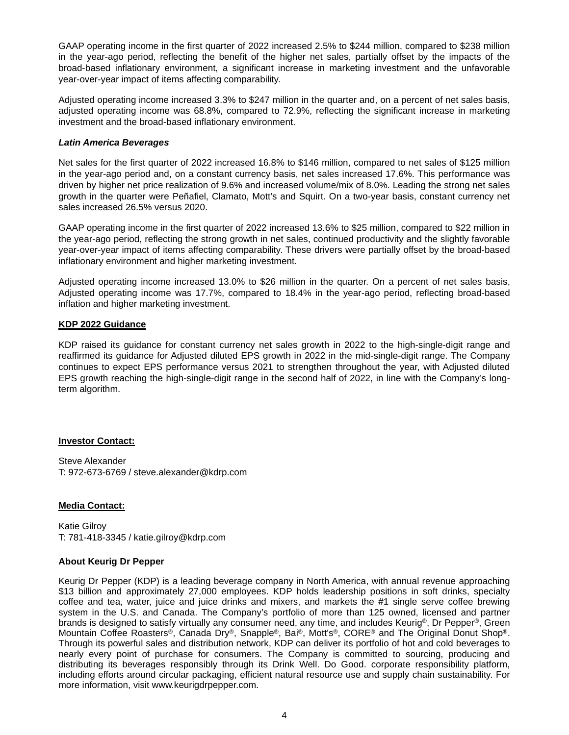GAAP operating income in the first quarter of 2022 increased 2.5% to \$244 million, compared to \$238 million in the year-ago period, reflecting the benefit of the higher net sales, partially offset by the impacts of the broad-based inflationary environment, a significant increase in marketing investment and the unfavorable year-over-year impact of items affecting comparability.

Adjusted operating income increased 3.3% to \$247 million in the quarter and, on a percent of net sales basis, adjusted operating income was 68.8%, compared to 72.9%, reflecting the significant increase in marketing investment and the broad-based inflationary environment.

### *Latin America Beverages*

Net sales for the first quarter of 2022 increased 16.8% to \$146 million, compared to net sales of \$125 million in the year-ago period and, on a constant currency basis, net sales increased 17.6%. This performance was driven by higher net price realization of 9.6% and increased volume/mix of 8.0%. Leading the strong net sales growth in the quarter were Peñafiel, Clamato, Mott's and Squirt. On a two-year basis, constant currency net sales increased 26.5% versus 2020.

GAAP operating income in the first quarter of 2022 increased 13.6% to \$25 million, compared to \$22 million in the year-ago period, reflecting the strong growth in net sales, continued productivity and the slightly favorable year-over-year impact of items affecting comparability. These drivers were partially offset by the broad-based inflationary environment and higher marketing investment.

Adjusted operating income increased 13.0% to \$26 million in the quarter. On a percent of net sales basis, Adjusted operating income was 17.7%, compared to 18.4% in the year-ago period, reflecting broad-based inflation and higher marketing investment.

## **KDP 2022 Guidance**

KDP raised its guidance for constant currency net sales growth in 2022 to the high-single-digit range and reaffirmed its guidance for Adjusted diluted EPS growth in 2022 in the mid-single-digit range. The Company continues to expect EPS performance versus 2021 to strengthen throughout the year, with Adjusted diluted EPS growth reaching the high-single-digit range in the second half of 2022, in line with the Company's longterm algorithm.

### **Investor Contact:**

Steve Alexander T: 972-673-6769 / steve.alexander@kdrp.com

## **Media Contact:**

Katie Gilroy T: 781-418-3345 / katie.gilroy@kdrp.com

### **About Keurig Dr Pepper**

Keurig Dr Pepper (KDP) is a leading beverage company in North America, with annual revenue approaching \$13 billion and approximately 27,000 employees. KDP holds leadership positions in soft drinks, specialty coffee and tea, water, juice and juice drinks and mixers, and markets the #1 single serve coffee brewing system in the U.S. and Canada. The Company's portfolio of more than 125 owned, licensed and partner brands is designed to satisfy virtually any consumer need, any time, and includes Keurig®, Dr Pepper®, Green Mountain Coffee Roasters®, Canada Dry®, Snapple®, Bai®, Mott's®, CORE® and The Original Donut Shop®. Through its powerful sales and distribution network, KDP can deliver its portfolio of hot and cold beverages to nearly every point of purchase for consumers. The Company is committed to sourcing, producing and distributing its beverages responsibly through its Drink Well. Do Good. corporate responsibility platform, including efforts around circular packaging, efficient natural resource use and supply chain sustainability. For more information, visit www.keurigdrpepper.com.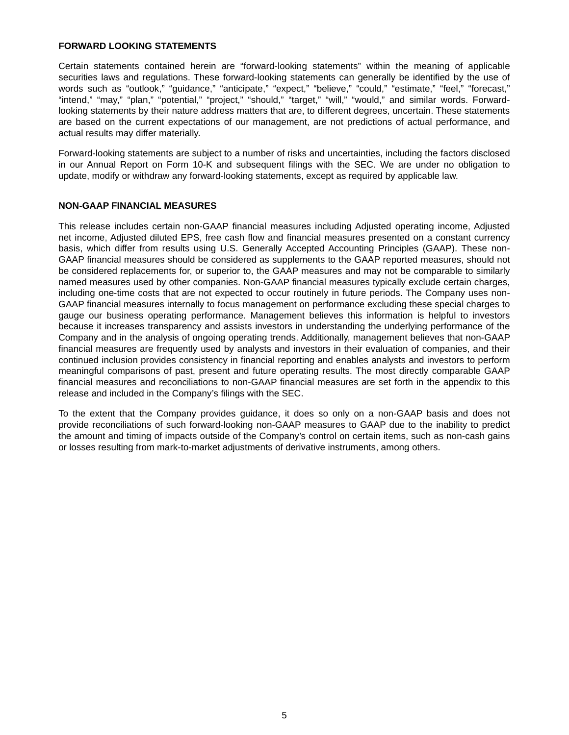### **FORWARD LOOKING STATEMENTS**

Certain statements contained herein are "forward-looking statements" within the meaning of applicable securities laws and regulations. These forward-looking statements can generally be identified by the use of words such as "outlook," "guidance," "anticipate," "expect," "believe," "could," "estimate," "feel," "forecast," "intend," "may," "plan," "potential," "project," "should," "target," "will," "would," and similar words. Forwardlooking statements by their nature address matters that are, to different degrees, uncertain. These statements are based on the current expectations of our management, are not predictions of actual performance, and actual results may differ materially.

Forward-looking statements are subject to a number of risks and uncertainties, including the factors disclosed in our Annual Report on Form 10-K and subsequent filings with the SEC. We are under no obligation to update, modify or withdraw any forward-looking statements, except as required by applicable law.

#### **NON-GAAP FINANCIAL MEASURES**

This release includes certain non-GAAP financial measures including Adjusted operating income, Adjusted net income, Adjusted diluted EPS, free cash flow and financial measures presented on a constant currency basis, which differ from results using U.S. Generally Accepted Accounting Principles (GAAP). These non-GAAP financial measures should be considered as supplements to the GAAP reported measures, should not be considered replacements for, or superior to, the GAAP measures and may not be comparable to similarly named measures used by other companies. Non-GAAP financial measures typically exclude certain charges, including one-time costs that are not expected to occur routinely in future periods. The Company uses non-GAAP financial measures internally to focus management on performance excluding these special charges to gauge our business operating performance. Management believes this information is helpful to investors because it increases transparency and assists investors in understanding the underlying performance of the Company and in the analysis of ongoing operating trends. Additionally, management believes that non-GAAP financial measures are frequently used by analysts and investors in their evaluation of companies, and their continued inclusion provides consistency in financial reporting and enables analysts and investors to perform meaningful comparisons of past, present and future operating results. The most directly comparable GAAP financial measures and reconciliations to non-GAAP financial measures are set forth in the appendix to this release and included in the Company's filings with the SEC.

To the extent that the Company provides guidance, it does so only on a non-GAAP basis and does not provide reconciliations of such forward-looking non-GAAP measures to GAAP due to the inability to predict the amount and timing of impacts outside of the Company's control on certain items, such as non-cash gains or losses resulting from mark-to-market adjustments of derivative instruments, among others.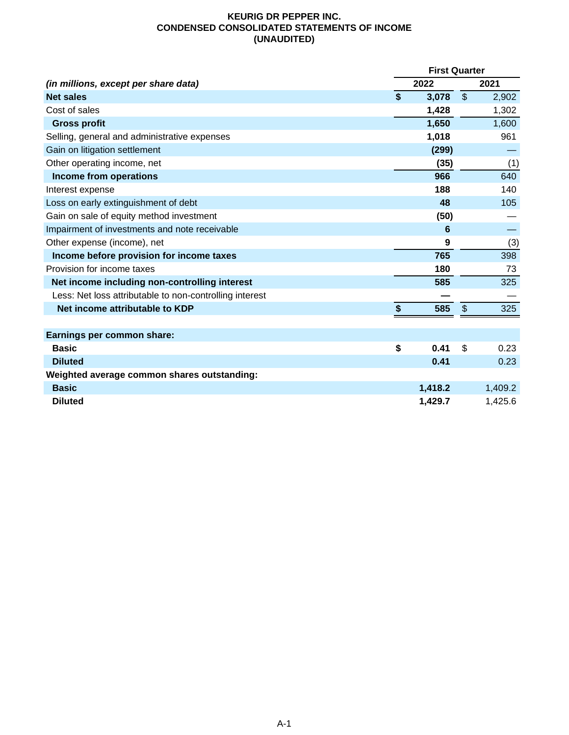## **KEURIG DR PEPPER INC. CONDENSED CONSOLIDATED STATEMENTS OF INCOME (UNAUDITED)**

|                                                         | <b>First Quarter</b> |         |                |         |
|---------------------------------------------------------|----------------------|---------|----------------|---------|
| (in millions, except per share data)                    |                      | 2022    |                | 2021    |
| <b>Net sales</b>                                        | $\boldsymbol{\$}$    | 3,078   | $\mathfrak{S}$ | 2,902   |
| Cost of sales                                           |                      | 1,428   |                | 1,302   |
| <b>Gross profit</b>                                     |                      | 1,650   |                | 1,600   |
| Selling, general and administrative expenses            |                      | 1,018   |                | 961     |
| Gain on litigation settlement                           |                      | (299)   |                |         |
| Other operating income, net                             |                      | (35)    |                | (1)     |
| Income from operations                                  |                      | 966     |                | 640     |
| Interest expense                                        |                      | 188     |                | 140     |
| Loss on early extinguishment of debt                    |                      | 48      |                | 105     |
| Gain on sale of equity method investment                |                      | (50)    |                |         |
| Impairment of investments and note receivable           |                      | 6       |                |         |
| Other expense (income), net                             |                      | 9       |                | (3)     |
| Income before provision for income taxes                |                      | 765     |                | 398     |
| Provision for income taxes                              |                      | 180     |                | 73      |
| Net income including non-controlling interest           |                      | 585     |                | 325     |
| Less: Net loss attributable to non-controlling interest |                      |         |                |         |
| Net income attributable to KDP                          | \$                   | 585     | $\frac{1}{2}$  | 325     |
|                                                         |                      |         |                |         |
| Earnings per common share:                              |                      |         |                |         |
| <b>Basic</b>                                            | \$                   | 0.41    | \$             | 0.23    |
| <b>Diluted</b>                                          |                      | 0.41    |                | 0.23    |
| Weighted average common shares outstanding:             |                      |         |                |         |
| <b>Basic</b>                                            |                      | 1,418.2 |                | 1,409.2 |
| <b>Diluted</b>                                          |                      | 1,429.7 |                | 1,425.6 |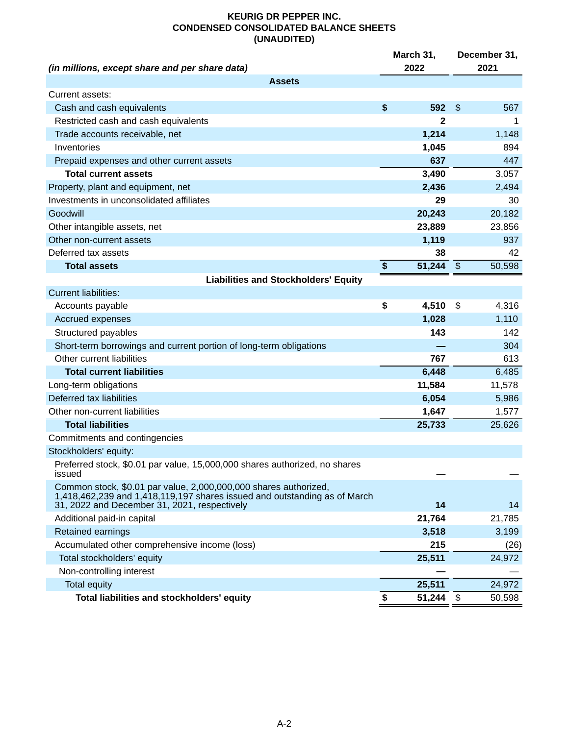## **KEURIG DR PEPPER INC. CONDENSED CONSOLIDATED BALANCE SHEETS (UNAUDITED)**

|                                                                                                                                                                                               | March 31,    | December 31,              |        |  |  |
|-----------------------------------------------------------------------------------------------------------------------------------------------------------------------------------------------|--------------|---------------------------|--------|--|--|
| (in millions, except share and per share data)                                                                                                                                                | 2022         |                           | 2021   |  |  |
| <b>Assets</b>                                                                                                                                                                                 |              |                           |        |  |  |
| Current assets:                                                                                                                                                                               |              |                           |        |  |  |
| Cash and cash equivalents                                                                                                                                                                     | \$<br>592    | $\boldsymbol{\mathsf{S}}$ | 567    |  |  |
| Restricted cash and cash equivalents                                                                                                                                                          | 2            |                           | 1      |  |  |
| Trade accounts receivable, net                                                                                                                                                                | 1,214        |                           | 1,148  |  |  |
| Inventories                                                                                                                                                                                   | 1,045        |                           | 894    |  |  |
| Prepaid expenses and other current assets                                                                                                                                                     | 637          |                           | 447    |  |  |
| <b>Total current assets</b>                                                                                                                                                                   | 3,490        |                           | 3,057  |  |  |
| Property, plant and equipment, net                                                                                                                                                            | 2,436        |                           | 2,494  |  |  |
| Investments in unconsolidated affiliates                                                                                                                                                      | 29           |                           | 30     |  |  |
| Goodwill                                                                                                                                                                                      | 20,243       |                           | 20,182 |  |  |
| Other intangible assets, net                                                                                                                                                                  | 23,889       |                           | 23,856 |  |  |
| Other non-current assets                                                                                                                                                                      | 1,119        |                           | 937    |  |  |
| Deferred tax assets                                                                                                                                                                           | 38           |                           | 42     |  |  |
| <b>Total assets</b>                                                                                                                                                                           | \$<br>51,244 | $\sqrt[6]{\frac{1}{2}}$   | 50,598 |  |  |
| <b>Liabilities and Stockholders' Equity</b>                                                                                                                                                   |              |                           |        |  |  |
| <b>Current liabilities:</b>                                                                                                                                                                   |              |                           |        |  |  |
| Accounts payable                                                                                                                                                                              | \$<br>4,510  | \$                        | 4,316  |  |  |
| <b>Accrued expenses</b>                                                                                                                                                                       | 1,028        |                           | 1,110  |  |  |
| Structured payables                                                                                                                                                                           | 143          |                           | 142    |  |  |
| Short-term borrowings and current portion of long-term obligations                                                                                                                            |              |                           | 304    |  |  |
| Other current liabilities                                                                                                                                                                     | 767          |                           | 613    |  |  |
| <b>Total current liabilities</b>                                                                                                                                                              | 6,448        |                           | 6,485  |  |  |
| Long-term obligations                                                                                                                                                                         | 11,584       |                           | 11,578 |  |  |
| Deferred tax liabilities                                                                                                                                                                      | 6,054        |                           | 5,986  |  |  |
| Other non-current liabilities                                                                                                                                                                 | 1,647        |                           | 1,577  |  |  |
| <b>Total liabilities</b>                                                                                                                                                                      | 25,733       |                           | 25,626 |  |  |
| Commitments and contingencies                                                                                                                                                                 |              |                           |        |  |  |
| Stockholders' equity:                                                                                                                                                                         |              |                           |        |  |  |
| Preferred stock, \$0.01 par value, 15,000,000 shares authorized, no shares<br>issued                                                                                                          |              |                           |        |  |  |
| Common stock, \$0.01 par value, 2,000,000,000 shares authorized,<br>1,418,462,239 and 1,418,119,197 shares issued and outstanding as of March<br>31, 2022 and December 31, 2021, respectively | 14           |                           | 14     |  |  |
| Additional paid-in capital                                                                                                                                                                    | 21,764       |                           | 21,785 |  |  |
| Retained earnings                                                                                                                                                                             | 3,518        |                           | 3,199  |  |  |
| Accumulated other comprehensive income (loss)                                                                                                                                                 | 215          |                           | (26)   |  |  |
| Total stockholders' equity                                                                                                                                                                    | 25,511       |                           | 24,972 |  |  |
| Non-controlling interest                                                                                                                                                                      |              |                           |        |  |  |
| <b>Total equity</b>                                                                                                                                                                           | 25,511       |                           | 24,972 |  |  |
| Total liabilities and stockholders' equity                                                                                                                                                    | \$<br>51,244 | -\$                       | 50,598 |  |  |
|                                                                                                                                                                                               |              |                           |        |  |  |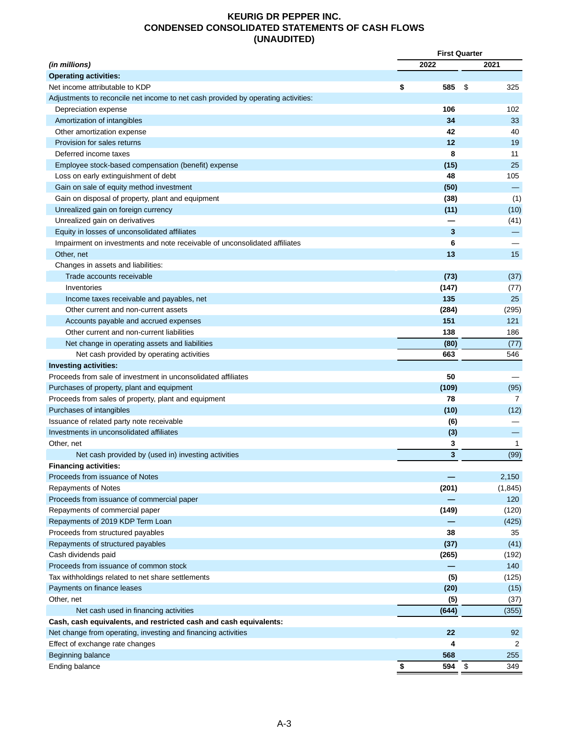## **KEURIG DR PEPPER INC. CONDENSED CONSOLIDATED STATEMENTS OF CASH FLOWS (UNAUDITED)**

|                                                                                   |    | <b>First Quarter</b>    |    |              |
|-----------------------------------------------------------------------------------|----|-------------------------|----|--------------|
| (in millions)                                                                     |    | 2022                    |    | 2021         |
| <b>Operating activities:</b>                                                      |    |                         |    |              |
| Net income attributable to KDP                                                    | \$ | 585                     | \$ | 325          |
| Adjustments to reconcile net income to net cash provided by operating activities: |    |                         |    |              |
| Depreciation expense                                                              |    | 106                     |    | 102          |
| Amortization of intangibles                                                       |    | 34                      |    | 33           |
| Other amortization expense                                                        |    | 42                      |    | 40           |
| Provision for sales returns                                                       |    | 12                      |    | 19           |
| Deferred income taxes                                                             |    | 8                       |    | 11           |
| Employee stock-based compensation (benefit) expense                               |    | (15)                    |    | 25           |
| Loss on early extinguishment of debt                                              |    | 48                      |    | 105          |
| Gain on sale of equity method investment                                          |    | (50)                    |    |              |
| Gain on disposal of property, plant and equipment                                 |    | (38)                    |    | (1)          |
| Unrealized gain on foreign currency                                               |    | (11)                    |    | (10)         |
| Unrealized gain on derivatives                                                    |    |                         |    | (41)         |
| Equity in losses of unconsolidated affiliates                                     |    | 3                       |    |              |
| Impairment on investments and note receivable of unconsolidated affiliates        |    | 6                       |    |              |
| Other, net                                                                        |    | 13                      |    | 15           |
| Changes in assets and liabilities:                                                |    |                         |    |              |
| Trade accounts receivable                                                         |    | (73)                    |    | (37)         |
| Inventories                                                                       |    | (147)                   |    | (77)         |
| Income taxes receivable and payables, net                                         |    | 135                     |    | 25           |
| Other current and non-current assets                                              |    | (284)                   |    | (295)        |
| Accounts payable and accrued expenses                                             |    | 151                     |    | 121          |
| Other current and non-current liabilities                                         |    | 138                     |    | 186          |
| Net change in operating assets and liabilities                                    |    | (80)                    |    | (77)         |
| Net cash provided by operating activities                                         |    | 663                     |    | 546          |
| <b>Investing activities:</b>                                                      |    |                         |    |              |
| Proceeds from sale of investment in unconsolidated affiliates                     |    | 50                      |    |              |
| Purchases of property, plant and equipment                                        |    | (109)                   |    | (95)         |
| Proceeds from sales of property, plant and equipment                              |    | 78                      |    | 7            |
| Purchases of intangibles                                                          |    | (10)                    |    | (12)         |
| Issuance of related party note receivable                                         |    | (6)                     |    |              |
| Investments in unconsolidated affiliates                                          |    | (3)                     |    |              |
| Other, net                                                                        |    | 3                       |    | $\mathbf{1}$ |
| Net cash provided by (used in) investing activities                               |    | $\overline{\mathbf{3}}$ |    | (99)         |
| <b>Financing activities:</b>                                                      |    |                         |    |              |
| Proceeds from issuance of Notes                                                   |    |                         |    | 2,150        |
| <b>Repayments of Notes</b>                                                        |    | (201)                   |    | (1, 845)     |
| Proceeds from issuance of commercial paper                                        |    |                         |    | 120          |
|                                                                                   |    | (149)                   |    |              |
| Repayments of commercial paper                                                    |    |                         |    | (120)        |
| Repayments of 2019 KDP Term Loan                                                  |    | 38                      |    | (425)        |
| Proceeds from structured payables                                                 |    |                         |    | 35           |
| Repayments of structured payables                                                 |    | (37)                    |    | (41)         |
| Cash dividends paid                                                               |    | (265)                   |    | (192)        |
| Proceeds from issuance of common stock                                            |    |                         |    | 140          |
| Tax withholdings related to net share settlements                                 |    | (5)                     |    | (125)        |
| Payments on finance leases                                                        |    | (20)                    |    | (15)         |
| Other, net                                                                        |    | (5)                     |    | (37)         |
| Net cash used in financing activities                                             |    | (644)                   |    | (355)        |
| Cash, cash equivalents, and restricted cash and cash equivalents:                 |    |                         |    |              |
| Net change from operating, investing and financing activities                     |    | 22                      |    | 92           |
| Effect of exchange rate changes                                                   |    | 4                       |    | 2            |
| Beginning balance                                                                 |    | 568                     |    | 255          |
| Ending balance                                                                    | \$ | 594 \$                  |    | 349          |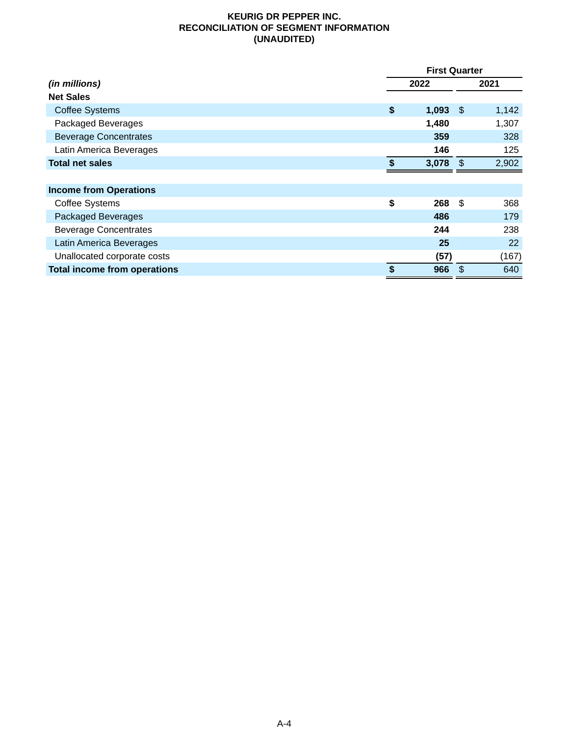## **KEURIG DR PEPPER INC. RECONCILIATION OF SEGMENT INFORMATION (UNAUDITED)**

|                                     |                  | <b>First Quarter</b> |       |  |  |
|-------------------------------------|------------------|----------------------|-------|--|--|
| (in millions)                       | 2022             |                      | 2021  |  |  |
| <b>Net Sales</b>                    |                  |                      |       |  |  |
| <b>Coffee Systems</b>               | \$<br>$1,093$ \$ |                      | 1,142 |  |  |
| Packaged Beverages                  | 1,480            |                      | 1,307 |  |  |
| <b>Beverage Concentrates</b>        | 359              |                      | 328   |  |  |
| Latin America Beverages             | 146              |                      | 125   |  |  |
| <b>Total net sales</b>              | \$<br>3,078      | -\$                  | 2,902 |  |  |
|                                     |                  |                      |       |  |  |
| <b>Income from Operations</b>       |                  |                      |       |  |  |
| <b>Coffee Systems</b>               | \$<br>268        | \$                   | 368   |  |  |
| <b>Packaged Beverages</b>           | 486              |                      | 179   |  |  |
| <b>Beverage Concentrates</b>        | 244              |                      | 238   |  |  |
| Latin America Beverages             | 25               |                      | 22    |  |  |
| Unallocated corporate costs         | (57)             |                      | (167) |  |  |
| <b>Total income from operations</b> | \$<br>966        | \$                   | 640   |  |  |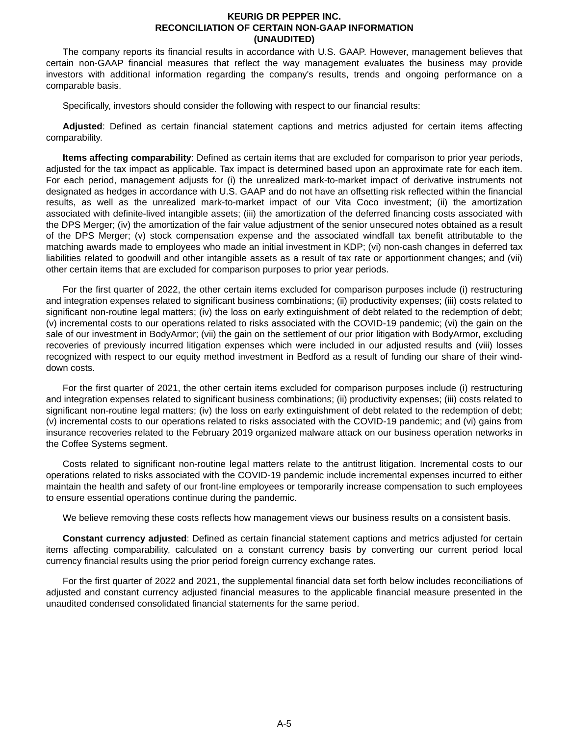#### **KEURIG DR PEPPER INC. RECONCILIATION OF CERTAIN NON-GAAP INFORMATION (UNAUDITED)**

The company reports its financial results in accordance with U.S. GAAP. However, management believes that certain non-GAAP financial measures that reflect the way management evaluates the business may provide investors with additional information regarding the company's results, trends and ongoing performance on a comparable basis.

Specifically, investors should consider the following with respect to our financial results:

**Adjusted**: Defined as certain financial statement captions and metrics adjusted for certain items affecting comparability.

**Items affecting comparability**: Defined as certain items that are excluded for comparison to prior year periods, adjusted for the tax impact as applicable. Tax impact is determined based upon an approximate rate for each item. For each period, management adjusts for (i) the unrealized mark-to-market impact of derivative instruments not designated as hedges in accordance with U.S. GAAP and do not have an offsetting risk reflected within the financial results, as well as the unrealized mark-to-market impact of our Vita Coco investment; (ii) the amortization associated with definite-lived intangible assets; (iii) the amortization of the deferred financing costs associated with the DPS Merger; (iv) the amortization of the fair value adjustment of the senior unsecured notes obtained as a result of the DPS Merger; (v) stock compensation expense and the associated windfall tax benefit attributable to the matching awards made to employees who made an initial investment in KDP; (vi) non-cash changes in deferred tax liabilities related to goodwill and other intangible assets as a result of tax rate or apportionment changes; and (vii) other certain items that are excluded for comparison purposes to prior year periods.

For the first quarter of 2022, the other certain items excluded for comparison purposes include (i) restructuring and integration expenses related to significant business combinations; (ii) productivity expenses; (iii) costs related to significant non-routine legal matters; (iv) the loss on early extinguishment of debt related to the redemption of debt; (v) incremental costs to our operations related to risks associated with the COVID-19 pandemic; (vi) the gain on the sale of our investment in BodyArmor; (vii) the gain on the settlement of our prior litigation with BodyArmor, excluding recoveries of previously incurred litigation expenses which were included in our adjusted results and (viii) losses recognized with respect to our equity method investment in Bedford as a result of funding our share of their winddown costs.

For the first quarter of 2021, the other certain items excluded for comparison purposes include (i) restructuring and integration expenses related to significant business combinations; (ii) productivity expenses; (iii) costs related to significant non-routine legal matters; (iv) the loss on early extinguishment of debt related to the redemption of debt; (v) incremental costs to our operations related to risks associated with the COVID-19 pandemic; and (vi) gains from insurance recoveries related to the February 2019 organized malware attack on our business operation networks in the Coffee Systems segment.

Costs related to significant non-routine legal matters relate to the antitrust litigation. Incremental costs to our operations related to risks associated with the COVID-19 pandemic include incremental expenses incurred to either maintain the health and safety of our front-line employees or temporarily increase compensation to such employees to ensure essential operations continue during the pandemic.

We believe removing these costs reflects how management views our business results on a consistent basis.

**Constant currency adjusted**: Defined as certain financial statement captions and metrics adjusted for certain items affecting comparability, calculated on a constant currency basis by converting our current period local currency financial results using the prior period foreign currency exchange rates.

For the first quarter of 2022 and 2021, the supplemental financial data set forth below includes reconciliations of adjusted and constant currency adjusted financial measures to the applicable financial measure presented in the unaudited condensed consolidated financial statements for the same period.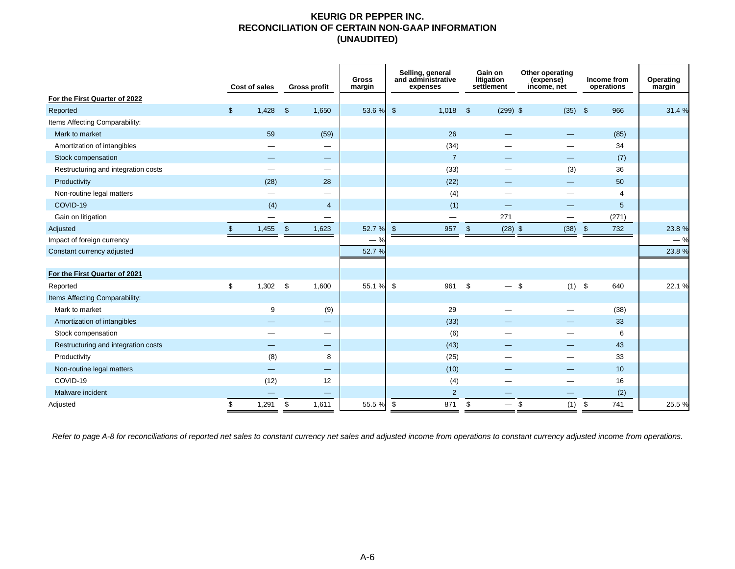### **KEURIG DR PEPPER INC. RECONCILIATION OF CERTAIN NON-GAAP INFORMATION (UNAUDITED)**

|                                            |                | Cost of sales                  |                         | <b>Gross profit</b>      | <b>Gross</b><br>margin |               | Selling, general<br>and administrative<br>expenses | Gain on<br>litigation<br>settlement | Other operating<br>(expense)<br>income, net |                         | Income from<br>operations | Operating<br>margin |
|--------------------------------------------|----------------|--------------------------------|-------------------------|--------------------------|------------------------|---------------|----------------------------------------------------|-------------------------------------|---------------------------------------------|-------------------------|---------------------------|---------------------|
| For the First Quarter of 2022              | $\mathfrak{S}$ | 1,428                          | $\mathbf{s}$            | 1,650                    | 53.6 %                 | $\sqrt{3}$    | 1,018                                              | \$<br>$(299)$ \$                    | $(35)$ \$                                   |                         | 966                       | 31.4 %              |
| Reported<br>Items Affecting Comparability: |                |                                |                         |                          |                        |               |                                                    |                                     |                                             |                         |                           |                     |
| Mark to market                             |                | 59                             |                         | (59)                     |                        |               | 26                                                 |                                     |                                             |                         | (85)                      |                     |
| Amortization of intangibles                |                |                                |                         |                          |                        |               | (34)                                               |                                     |                                             |                         | 34                        |                     |
|                                            |                |                                |                         | —                        |                        |               | $\overline{7}$                                     |                                     |                                             |                         |                           |                     |
| Stock compensation                         |                |                                |                         |                          |                        |               |                                                    |                                     |                                             |                         | (7)                       |                     |
| Restructuring and integration costs        |                |                                |                         | —                        |                        |               | (33)                                               |                                     | (3)                                         |                         | 36                        |                     |
| Productivity                               |                | (28)                           |                         | 28                       |                        |               | (22)                                               |                                     |                                             |                         | 50                        |                     |
| Non-routine legal matters                  |                | —                              |                         | $\overline{\phantom{0}}$ |                        |               | (4)                                                |                                     |                                             |                         | 4                         |                     |
| COVID-19                                   |                | (4)                            |                         | 4                        |                        |               | (1)                                                |                                     |                                             |                         | $5\phantom{.0}$           |                     |
| Gain on litigation                         |                |                                |                         |                          |                        |               |                                                    | 271                                 |                                             |                         | (271)                     |                     |
| Adjusted                                   | $\mathfrak{L}$ | 1,455                          | $\sqrt[6]{\frac{1}{2}}$ | 1,623                    | 52.7 %                 | $\mathbf{\$}$ | 957                                                | $\sqrt[6]{2}$<br>$(28)$ \$          | (38)                                        | $\sqrt[6]{\frac{1}{2}}$ | 732                       | 23.8%               |
| Impact of foreign currency                 |                |                                |                         |                          | $-$ %                  |               |                                                    |                                     |                                             |                         |                           | $-$ %               |
| Constant currency adjusted                 |                |                                |                         |                          | 52.7 %                 |               |                                                    |                                     |                                             |                         |                           | 23.8 %              |
|                                            |                |                                |                         |                          |                        |               |                                                    |                                     |                                             |                         |                           |                     |
| For the First Quarter of 2021              |                |                                |                         |                          |                        |               |                                                    |                                     |                                             |                         |                           |                     |
| Reported                                   | \$             | $1,302$ \$                     |                         | 1,600                    | 55.1 %                 | \$            | 961                                                | \$                                  | $(1)$ \$<br>$\mathbf{\hat{s}}$              |                         | 640                       | 22.1%               |
| Items Affecting Comparability:             |                |                                |                         |                          |                        |               |                                                    |                                     |                                             |                         |                           |                     |
| Mark to market                             |                | 9                              |                         | (9)                      |                        |               | 29                                                 |                                     |                                             |                         | (38)                      |                     |
| Amortization of intangibles                |                | –                              |                         |                          |                        |               | (33)                                               |                                     |                                             |                         | 33                        |                     |
| Stock compensation                         |                |                                |                         | —                        |                        |               | (6)                                                | —                                   |                                             |                         | 6                         |                     |
| Restructuring and integration costs        |                | --                             |                         | —                        |                        |               | (43)                                               |                                     |                                             |                         | 43                        |                     |
| Productivity                               |                | (8)                            |                         | 8                        |                        |               | (25)                                               |                                     |                                             |                         | 33                        |                     |
| Non-routine legal matters                  |                | $\qquad \qquad \longleftarrow$ |                         | —                        |                        |               | (10)                                               |                                     |                                             |                         | 10                        |                     |
| COVID-19                                   |                | (12)                           |                         | 12                       |                        |               | (4)                                                | –                                   |                                             |                         | 16                        |                     |
| Malware incident                           |                |                                |                         | -                        |                        |               | $\overline{2}$                                     |                                     |                                             |                         | (2)                       |                     |
| Adjusted                                   | \$             | 1,291                          | \$                      | 1,611                    | 55.5 %                 | -\$           | 871                                                | \$<br>$-$ \$                        | (1)                                         | \$                      | 741                       | 25.5 %              |

*Refer to page A[-8](#page-12-0) for reconciliations of reported net sales to constant currency net sales and adjusted income from operations to constant currency adjusted income from operations.*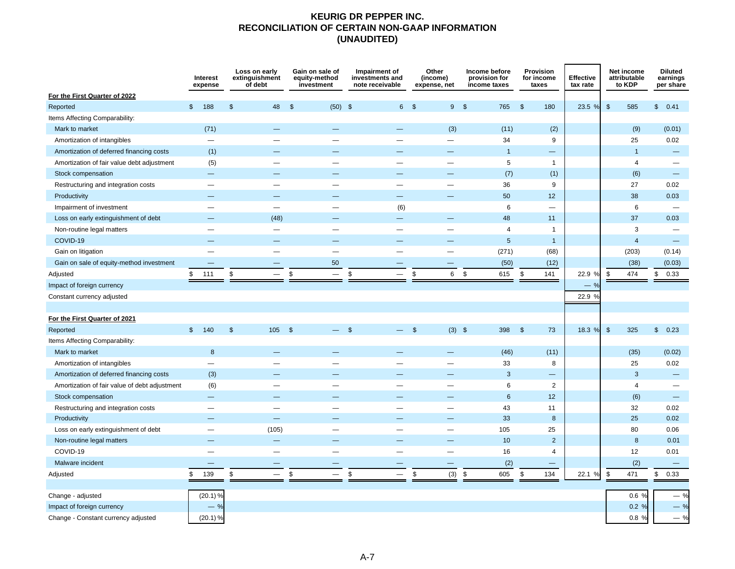## **KEURIG DR PEPPER INC. RECONCILIATION OF CERTAIN NON-GAAP INFORMATION (UNAUDITED)**

|                                               |              | Interest<br>expense      |                | Loss on early<br>extinguishment<br>of debt |                          |                    | Gain on sale of<br>equity-method<br>investment |                | Impairment of<br>investments and<br>note receivable | Other<br>(income)<br>expense, net | Income before<br>provision for<br>income taxes |              | Provision<br>for income<br>taxes | <b>Effective</b><br>tax rate |               | Net income<br>attributable<br>to KDP |              | <b>Diluted</b><br>earnings<br>per share |
|-----------------------------------------------|--------------|--------------------------|----------------|--------------------------------------------|--------------------------|--------------------|------------------------------------------------|----------------|-----------------------------------------------------|-----------------------------------|------------------------------------------------|--------------|----------------------------------|------------------------------|---------------|--------------------------------------|--------------|-----------------------------------------|
| For the First Quarter of 2022                 |              |                          |                |                                            |                          |                    |                                                |                |                                                     |                                   |                                                |              |                                  |                              |               |                                      |              |                                         |
| Reported                                      | $\mathbb{S}$ | 188                      | $\mathfrak{s}$ |                                            | 48                       | - \$               | (50)                                           | -\$            | 6 \$                                                | 9S                                | 765                                            | \$           | 180                              | 23.5 %                       | \$            | 585                                  | $\mathbb{S}$ | 0.41                                    |
| Items Affecting Comparability:                |              |                          |                |                                            |                          |                    |                                                |                |                                                     |                                   |                                                |              |                                  |                              |               |                                      |              |                                         |
| Mark to market                                |              | (71)                     |                |                                            |                          |                    |                                                |                |                                                     | (3)                               | (11)                                           |              | (2)                              |                              |               | (9)                                  |              | (0.01)                                  |
| Amortization of intangibles                   |              | —                        |                |                                            |                          |                    |                                                |                |                                                     | $\overline{\phantom{0}}$          | 34                                             |              | 9                                |                              |               | 25                                   |              | 0.02                                    |
| Amortization of deferred financing costs      |              | (1)                      |                |                                            |                          |                    |                                                |                |                                                     |                                   | $\mathbf{1}$                                   |              | —                                |                              |               | $\overline{1}$                       |              | —                                       |
| Amortization of fair value debt adjustment    |              | (5)                      |                |                                            |                          |                    |                                                |                | $\overline{\phantom{0}}$                            | $\overline{\phantom{0}}$          | 5                                              |              | $\mathbf{1}$                     |                              |               | $\overline{4}$                       |              | —                                       |
| Stock compensation                            |              | <u>—</u>                 |                |                                            |                          |                    |                                                |                |                                                     |                                   | (7)                                            |              | (1)                              |                              |               | (6)                                  |              | $\overline{\phantom{m}}$                |
| Restructuring and integration costs           |              |                          |                |                                            |                          |                    |                                                |                |                                                     |                                   | 36                                             |              | 9                                |                              |               | 27                                   |              | 0.02                                    |
| Productivity                                  |              |                          |                |                                            |                          |                    |                                                |                |                                                     |                                   | 50                                             |              | 12                               |                              |               | 38                                   |              | 0.03                                    |
| Impairment of investment                      |              |                          |                |                                            |                          |                    |                                                |                | (6)                                                 |                                   | 6                                              |              | $\overline{\phantom{0}}$         |                              |               | 6                                    |              |                                         |
| Loss on early extinguishment of debt          |              |                          |                |                                            | (48)                     |                    |                                                |                | $\equiv$                                            | $\equiv$                          | 48                                             |              | 11                               |                              |               | 37                                   |              | 0.03                                    |
| Non-routine legal matters                     |              |                          |                |                                            |                          |                    |                                                |                | $\overline{\phantom{0}}$                            |                                   | $\overline{4}$                                 |              | $\mathbf{1}$                     |                              |               | 3                                    |              |                                         |
| COVID-19                                      |              |                          |                |                                            |                          |                    |                                                |                |                                                     |                                   | 5                                              |              | $\mathbf{1}$                     |                              |               | $\overline{4}$                       |              | $\overline{\phantom{0}}$                |
| Gain on litigation                            |              |                          |                |                                            |                          |                    | -                                              |                |                                                     |                                   | (271)                                          |              | (68)                             |                              |               | (203)                                |              | (0.14)                                  |
| Gain on sale of equity-method investment      |              |                          |                |                                            |                          |                    | 50                                             |                |                                                     |                                   | (50)                                           |              | (12)                             |                              |               | (38)                                 |              | (0.03)                                  |
| Adjusted                                      | \$           | 111                      | \$             |                                            | —                        | \$                 | $\qquad \qquad -$                              | \$             | $\qquad \qquad -$                                   | \$<br>6                           | \$<br>615                                      | \$           | 141                              | 22.9 %                       | \$            | 474                                  | \$           | 0.33                                    |
| Impact of foreign currency                    |              |                          |                |                                            |                          |                    |                                                |                |                                                     |                                   |                                                |              |                                  | %<br>-                       |               |                                      |              |                                         |
| Constant currency adjusted                    |              |                          |                |                                            |                          |                    |                                                |                |                                                     |                                   |                                                |              |                                  | 22.9 %                       |               |                                      |              |                                         |
|                                               |              |                          |                |                                            |                          |                    |                                                |                |                                                     |                                   |                                                |              |                                  |                              |               |                                      |              |                                         |
| For the First Quarter of 2021                 |              |                          |                |                                            |                          |                    |                                                |                |                                                     |                                   |                                                |              |                                  |                              |               |                                      |              |                                         |
| Reported                                      |              | \$ 140                   | $\mathfrak{s}$ |                                            | 105                      | $\mathbf{\hat{s}}$ |                                                | $\mathfrak{s}$ | $-$ \$                                              | $(3)$ \$                          | 398                                            | $\mathbb{S}$ | 73                               | 18.3 %                       | $\sqrt[6]{3}$ | 325                                  |              | \$0.23                                  |
| Items Affecting Comparability:                |              |                          |                |                                            |                          |                    |                                                |                |                                                     |                                   |                                                |              |                                  |                              |               |                                      |              |                                         |
| Mark to market                                |              | $\boldsymbol{8}$         |                |                                            |                          |                    |                                                |                | -                                                   | —                                 | (46)                                           |              | (11)                             |                              |               | (35)                                 |              | (0.02)                                  |
| Amortization of intangibles                   |              | $\overline{\phantom{0}}$ |                |                                            |                          |                    |                                                |                |                                                     |                                   | 33                                             |              | 8                                |                              |               | 25                                   |              | 0.02                                    |
| Amortization of deferred financing costs      |              | (3)                      |                |                                            |                          |                    |                                                |                |                                                     |                                   | 3                                              |              | -                                |                              |               | 3                                    |              | —                                       |
| Amortization of fair value of debt adjustment |              | (6)                      |                |                                            |                          |                    |                                                |                |                                                     |                                   | 6                                              |              | $\overline{2}$                   |                              |               | 4                                    |              |                                         |
| Stock compensation                            |              | —                        |                |                                            |                          |                    |                                                |                |                                                     | —                                 | 6                                              |              | 12                               |                              |               | (6)                                  |              | $\qquad \qquad -$                       |
| Restructuring and integration costs           |              | $\overline{\phantom{0}}$ |                |                                            |                          |                    |                                                |                |                                                     | —                                 | 43                                             |              | 11                               |                              |               | 32                                   |              | 0.02                                    |
| Productivity                                  |              |                          |                |                                            |                          |                    |                                                |                |                                                     |                                   | 33                                             |              | 8                                |                              |               | 25                                   |              | 0.02                                    |
| Loss on early extinguishment of debt          |              | —                        |                |                                            | (105)                    |                    |                                                |                |                                                     | $\overline{\phantom{0}}$          | 105                                            |              | 25                               |                              |               | 80                                   |              | 0.06                                    |
| Non-routine legal matters                     |              |                          |                |                                            |                          |                    |                                                |                |                                                     |                                   | 10                                             |              | $\overline{2}$                   |                              |               | 8                                    |              | 0.01                                    |
| COVID-19                                      |              | —                        |                |                                            | $\overline{\phantom{0}}$ |                    |                                                |                | -                                                   | $\overline{\phantom{0}}$          | 16                                             |              | $\overline{4}$                   |                              |               | 12                                   |              | 0.01                                    |
| Malware incident                              |              |                          |                |                                            |                          |                    |                                                |                |                                                     | $\overline{\phantom{m}}$          | (2)                                            |              | $\overline{\phantom{0}}$         |                              |               | (2)                                  |              | $\qquad \qquad -$                       |
| Adjusted                                      | \$           | 139                      | \$             |                                            | $\qquad \qquad -$        | \$                 |                                                | \$             | $\overline{\phantom{0}}$                            | \$<br>(3)                         | \$<br>605                                      | \$           | 134                              | 22.1 %                       | \$            | 471                                  | $\mathbb S$  | 0.33                                    |
|                                               |              |                          |                |                                            |                          |                    |                                                |                |                                                     |                                   |                                                |              |                                  |                              |               |                                      |              |                                         |
| Change - adjusted                             |              | $(20.1)$ %               |                |                                            |                          |                    |                                                |                |                                                     |                                   |                                                |              |                                  |                              |               | 0.6%                                 |              | $-$ %                                   |
| Impact of foreign currency                    |              | $-$ %                    |                |                                            |                          |                    |                                                |                |                                                     |                                   |                                                |              |                                  |                              |               | 0.2%                                 |              | $-$ %                                   |
| Change - Constant currency adjusted           |              | $(20.1)$ %               |                |                                            |                          |                    |                                                |                |                                                     |                                   |                                                |              |                                  |                              |               | 0.8%                                 |              | $-$ %                                   |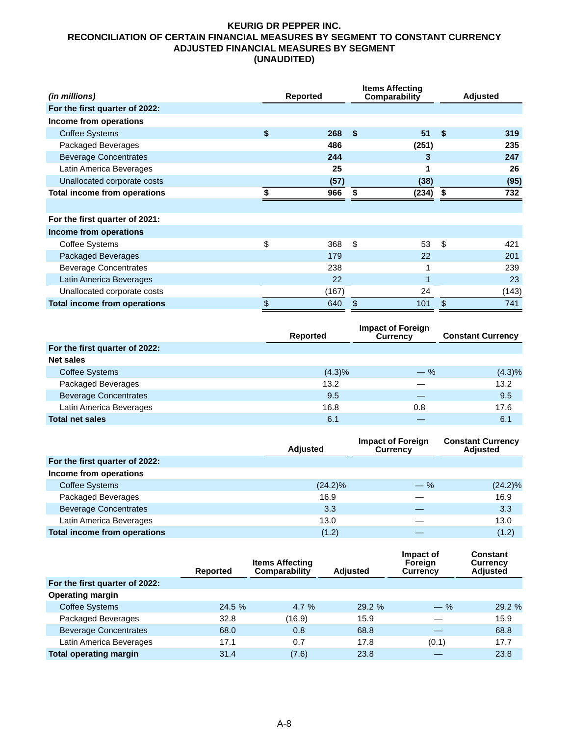### <span id="page-12-0"></span>**KEURIG DR PEPPER INC. RECONCILIATION OF CERTAIN FINANCIAL MEASURES BY SEGMENT TO CONSTANT CURRENCY ADJUSTED FINANCIAL MEASURES BY SEGMENT (UNAUDITED)**

| (in millions)                       |    | <b>Reported</b> |     | <b>Items Affecting</b><br>Comparability |    | Adjusted |
|-------------------------------------|----|-----------------|-----|-----------------------------------------|----|----------|
| For the first quarter of 2022:      |    |                 |     |                                         |    |          |
| Income from operations              |    |                 |     |                                         |    |          |
| <b>Coffee Systems</b>               | \$ | 268             | -\$ | 51                                      | \$ | 319      |
| Packaged Beverages                  |    | 486             |     | (251)                                   |    | 235      |
| <b>Beverage Concentrates</b>        |    | 244             |     | 3                                       |    | 247      |
| Latin America Beverages             |    | 25              |     |                                         |    | 26       |
| Unallocated corporate costs         |    | (57)            |     | (38)                                    |    | (95)     |
| Total income from operations        |    | 966             | \$  | (234)                                   | \$ | 732      |
|                                     |    |                 |     |                                         |    |          |
| For the first quarter of 2021:      |    |                 |     |                                         |    |          |
| Income from operations              |    |                 |     |                                         |    |          |
| Coffee Systems                      | \$ | 368             | \$  | 53                                      | \$ | 421      |
| Packaged Beverages                  |    | 179             |     | 22                                      |    | 201      |
| <b>Beverage Concentrates</b>        |    | 238             |     |                                         |    | 239      |
| Latin America Beverages             |    | 22              |     | 1                                       |    | 23       |
| Unallocated corporate costs         |    | (167)           |     | 24                                      |    | (143)    |
| <b>Total income from operations</b> | \$ | 640             | \$  | 101                                     | \$ | 741      |

|                                | Reported  | <b>Impact of Foreign</b><br><b>Currency</b> | <b>Constant Currency</b> |
|--------------------------------|-----------|---------------------------------------------|--------------------------|
| For the first quarter of 2022: |           |                                             |                          |
| Net sales                      |           |                                             |                          |
| <b>Coffee Systems</b>          | $(4.3)\%$ | $-$ %                                       | $(4.3)\%$                |
| Packaged Beverages             | 13.2      |                                             | 13.2                     |
| <b>Beverage Concentrates</b>   | 9.5       |                                             | 9.5                      |
| Latin America Beverages        | 16.8      | 0.8                                         | 17.6                     |
| <b>Total net sales</b>         | 6.1       |                                             | 6.1                      |

|                                     | <b>Adjusted</b> | <b>Impact of Foreign</b><br><b>Currency</b> | <b>Constant Currency</b><br><b>Adjusted</b> |
|-------------------------------------|-----------------|---------------------------------------------|---------------------------------------------|
| For the first quarter of 2022:      |                 |                                             |                                             |
| Income from operations              |                 |                                             |                                             |
| <b>Coffee Systems</b>               | $(24.2)\%$      | $-$ %                                       | $(24.2)\%$                                  |
| Packaged Beverages                  | 16.9            |                                             | 16.9                                        |
| <b>Beverage Concentrates</b>        | 3.3             |                                             | 3.3                                         |
| Latin America Beverages             | 13.0            |                                             | 13.0                                        |
| <b>Total income from operations</b> | (1.2)           |                                             | (1.2)                                       |

|                                | <b>Reported</b> | <b>Items Affecting</b><br>Comparability | <b>Adjusted</b> | Impact of<br>Foreign<br><b>Currency</b> | Constant<br><b>Currency</b><br><b>Adjusted</b> |
|--------------------------------|-----------------|-----------------------------------------|-----------------|-----------------------------------------|------------------------------------------------|
| For the first quarter of 2022: |                 |                                         |                 |                                         |                                                |
| <b>Operating margin</b>        |                 |                                         |                 |                                         |                                                |
| Coffee Systems                 | 24.5%           | 4.7%                                    | 29.2%           | $-$ %                                   | 29.2%                                          |
| Packaged Beverages             | 32.8            | (16.9)                                  | 15.9            |                                         | 15.9                                           |
| <b>Beverage Concentrates</b>   | 68.0            | 0.8                                     | 68.8            |                                         | 68.8                                           |
| Latin America Beverages        | 17.1            | 0.7                                     | 17.8            | (0.1)                                   | 17.7                                           |
| <b>Total operating margin</b>  | 31.4            | (7.6)                                   | 23.8            |                                         | 23.8                                           |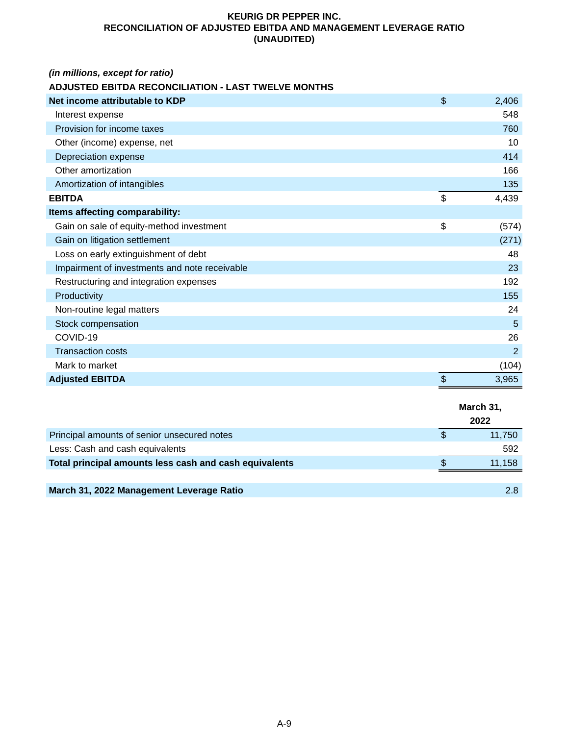## **KEURIG DR PEPPER INC. RECONCILIATION OF ADJUSTED EBITDA AND MANAGEMENT LEVERAGE RATIO (UNAUDITED)**

# *(in millions, except for ratio)*

# **ADJUSTED EBITDA RECONCILIATION - LAST TWELVE MONTHS**

| Net income attributable to KDP                | \$<br>2,406    |
|-----------------------------------------------|----------------|
| Interest expense                              | 548            |
| Provision for income taxes                    | 760            |
| Other (income) expense, net                   | 10             |
| Depreciation expense                          | 414            |
| Other amortization                            | 166            |
| Amortization of intangibles                   | 135            |
| <b>EBITDA</b>                                 | \$<br>4,439    |
| Items affecting comparability:                |                |
| Gain on sale of equity-method investment      | \$<br>(574)    |
| Gain on litigation settlement                 | (271)          |
| Loss on early extinguishment of debt          | 48             |
| Impairment of investments and note receivable | 23             |
| Restructuring and integration expenses        | 192            |
| Productivity                                  | 155            |
| Non-routine legal matters                     | 24             |
| Stock compensation                            | 5              |
| COVID-19                                      | 26             |
| <b>Transaction costs</b>                      | $\overline{2}$ |
| Mark to market                                | (104)          |
| <b>Adjusted EBITDA</b>                        | \$<br>3,965    |

|                                                        | March 31, |  |
|--------------------------------------------------------|-----------|--|
|                                                        | 2022      |  |
| Principal amounts of senior unsecured notes            | 11,750    |  |
| Less: Cash and cash equivalents                        | 592       |  |
| Total principal amounts less cash and cash equivalents | 11,158    |  |
|                                                        |           |  |
| March 31, 2022 Management Leverage Ratio               | 2.8       |  |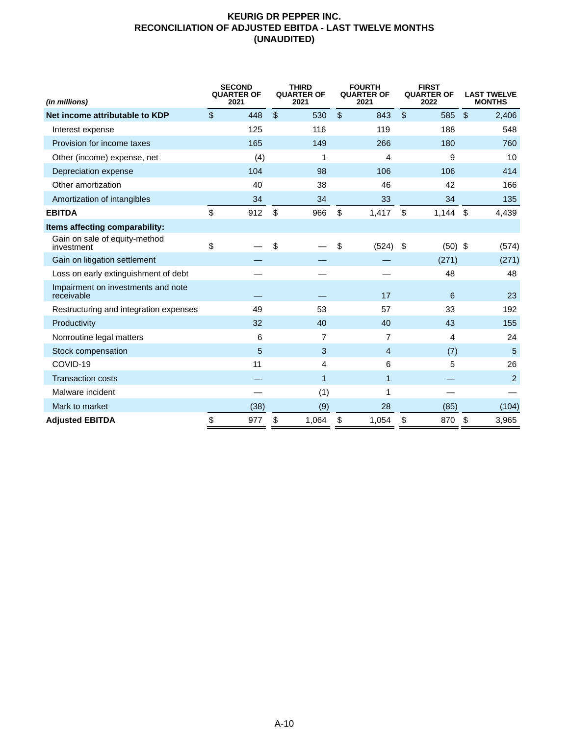## **KEURIG DR PEPPER INC. RECONCILIATION OF ADJUSTED EBITDA - LAST TWELVE MONTHS (UNAUDITED)**

| (in millions)                                    | <b>SECOND</b><br><b>QUARTER OF</b><br>2021 | <b>THIRD</b><br><b>QUARTER OF</b><br>2021 |                         | <b>FOURTH</b><br><b>QUARTER OF</b><br>2021 |                | <b>FIRST</b><br><b>QUARTER OF</b><br>2022 |               | <b>LAST TWELVE</b><br><b>MONTHS</b> |
|--------------------------------------------------|--------------------------------------------|-------------------------------------------|-------------------------|--------------------------------------------|----------------|-------------------------------------------|---------------|-------------------------------------|
| Net income attributable to KDP                   | \$<br>448                                  | \$<br>530                                 | $\sqrt[6]{\frac{1}{2}}$ | 843                                        | $\mathfrak{L}$ | 585                                       | $\mathcal{S}$ | 2,406                               |
| Interest expense                                 | 125                                        | 116                                       |                         | 119                                        |                | 188                                       |               | 548                                 |
| Provision for income taxes                       | 165                                        | 149                                       |                         | 266                                        |                | 180                                       |               | 760                                 |
| Other (income) expense, net                      | (4)                                        | 1                                         |                         | 4                                          |                | 9                                         |               | 10                                  |
| Depreciation expense                             | 104                                        | 98                                        |                         | 106                                        |                | 106                                       |               | 414                                 |
| Other amortization                               | 40                                         | 38                                        |                         | 46                                         |                | 42                                        |               | 166                                 |
| Amortization of intangibles                      | 34                                         | 34                                        |                         | 33                                         |                | 34                                        |               | 135                                 |
| <b>EBITDA</b>                                    | \$<br>912                                  | \$<br>966                                 | \$                      | 1,417                                      | \$             | $1,144$ \$                                |               | 4,439                               |
| Items affecting comparability:                   |                                            |                                           |                         |                                            |                |                                           |               |                                     |
| Gain on sale of equity-method<br>investment      | \$                                         | \$                                        | \$                      | (524)                                      | \$             | $(50)$ \$                                 |               | (574)                               |
| Gain on litigation settlement                    |                                            |                                           |                         |                                            |                | (271)                                     |               | (271)                               |
| Loss on early extinguishment of debt             |                                            |                                           |                         |                                            |                | 48                                        |               | 48                                  |
| Impairment on investments and note<br>receivable |                                            |                                           |                         | 17                                         |                | 6                                         |               | 23                                  |
| Restructuring and integration expenses           | 49                                         | 53                                        |                         | 57                                         |                | 33                                        |               | 192                                 |
| Productivity                                     | 32                                         | 40                                        |                         | 40                                         |                | 43                                        |               | 155                                 |
| Nonroutine legal matters                         | 6                                          | 7                                         |                         | 7                                          |                | 4                                         |               | 24                                  |
| Stock compensation                               | 5                                          | 3                                         |                         | 4                                          |                | (7)                                       |               | 5                                   |
| COVID-19                                         | 11                                         | 4                                         |                         | 6                                          |                | 5                                         |               | 26                                  |
| <b>Transaction costs</b>                         |                                            | 1                                         |                         | 1                                          |                |                                           |               | $\overline{c}$                      |
| Malware incident                                 |                                            | (1)                                       |                         | 1                                          |                |                                           |               |                                     |
| Mark to market                                   | (38)                                       | (9)                                       |                         | 28                                         |                | (85)                                      |               | (104)                               |
| <b>Adjusted EBITDA</b>                           | \$<br>977                                  | \$<br>1,064                               | \$                      | 1,054                                      | \$             | 870                                       | \$            | 3,965                               |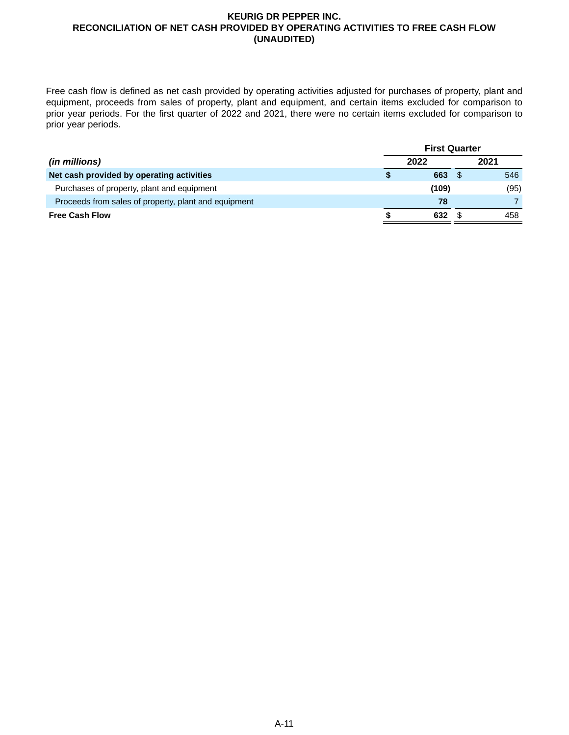### **KEURIG DR PEPPER INC. RECONCILIATION OF NET CASH PROVIDED BY OPERATING ACTIVITIES TO FREE CASH FLOW (UNAUDITED)**

Free cash flow is defined as net cash provided by operating activities adjusted for purchases of property, plant and equipment, proceeds from sales of property, plant and equipment, and certain items excluded for comparison to prior year periods. For the first quarter of 2022 and 2021, there were no certain items excluded for comparison to prior year periods.

|                                                      | <b>First Quarter</b> |       |      |      |  |
|------------------------------------------------------|----------------------|-------|------|------|--|
| (in millions)                                        |                      | 2022  | 2021 |      |  |
| Net cash provided by operating activities            |                      | 663   |      | 546  |  |
| Purchases of property, plant and equipment           |                      | (109) |      | (95) |  |
| Proceeds from sales of property, plant and equipment |                      | 78    |      |      |  |
| <b>Free Cash Flow</b>                                |                      | 632   |      | 458  |  |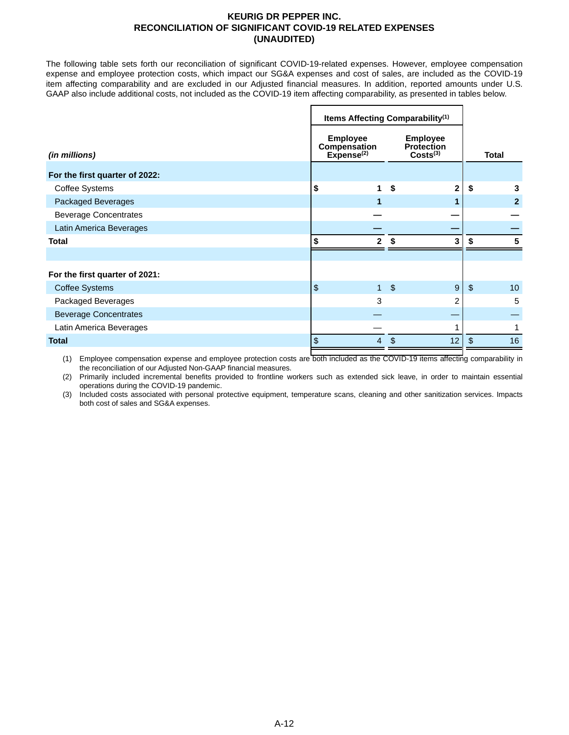### **KEURIG DR PEPPER INC. RECONCILIATION OF SIGNIFICANT COVID-19 RELATED EXPENSES (UNAUDITED)**

The following table sets forth our reconciliation of significant COVID-19-related expenses. However, employee compensation expense and employee protection costs, which impact our SG&A expenses and cost of sales, are included as the COVID-19 item affecting comparability and are excluded in our Adjusted financial measures. In addition, reported amounts under U.S. GAAP also include additional costs, not included as the COVID-19 item affecting comparability, as presented in tables below.

|                                | Items Affecting Comparability <sup>(1)</sup>                                                                              |              |              |                         |                |              |
|--------------------------------|---------------------------------------------------------------------------------------------------------------------------|--------------|--------------|-------------------------|----------------|--------------|
| (in millions)                  | <b>Employee</b><br><b>Employee</b><br>Compensation<br><b>Protection</b><br>Expense <sup>(2)</sup><br>Costs <sup>(3)</sup> |              | <b>Total</b> |                         |                |              |
| For the first quarter of 2022: |                                                                                                                           |              |              |                         |                |              |
| Coffee Systems                 | \$                                                                                                                        | 1            | \$           | $\overline{\mathbf{2}}$ | \$             | 3            |
| Packaged Beverages             |                                                                                                                           | 1            |              |                         |                | $\mathbf{2}$ |
| <b>Beverage Concentrates</b>   |                                                                                                                           |              |              |                         |                |              |
| Latin America Beverages        |                                                                                                                           |              |              |                         |                |              |
| <b>Total</b>                   | \$                                                                                                                        | $\mathbf{2}$ | \$           | 3                       | \$             | 5            |
|                                |                                                                                                                           |              |              |                         |                |              |
| For the first quarter of 2021: |                                                                                                                           |              |              |                         |                |              |
| <b>Coffee Systems</b>          | \$                                                                                                                        | $\mathbf{1}$ | $\sqrt{2}$   | 9                       | $\mathfrak{L}$ | 10           |
| Packaged Beverages             |                                                                                                                           | 3            |              | $\overline{2}$          |                | 5            |
| <b>Beverage Concentrates</b>   |                                                                                                                           |              |              |                         |                |              |
| Latin America Beverages        |                                                                                                                           |              |              |                         |                |              |
| <b>Total</b>                   | \$                                                                                                                        | 4            | \$           | 12                      | $\mathfrak{L}$ | 16           |

(1) Employee compensation expense and employee protection costs are both included as the COVID-19 items affecting comparability in the reconciliation of our Adjusted Non-GAAP financial measures.

(2) Primarily included incremental benefits provided to frontline workers such as extended sick leave, in order to maintain essential operations during the COVID-19 pandemic.

(3) Included costs associated with personal protective equipment, temperature scans, cleaning and other sanitization services. Impacts both cost of sales and SG&A expenses.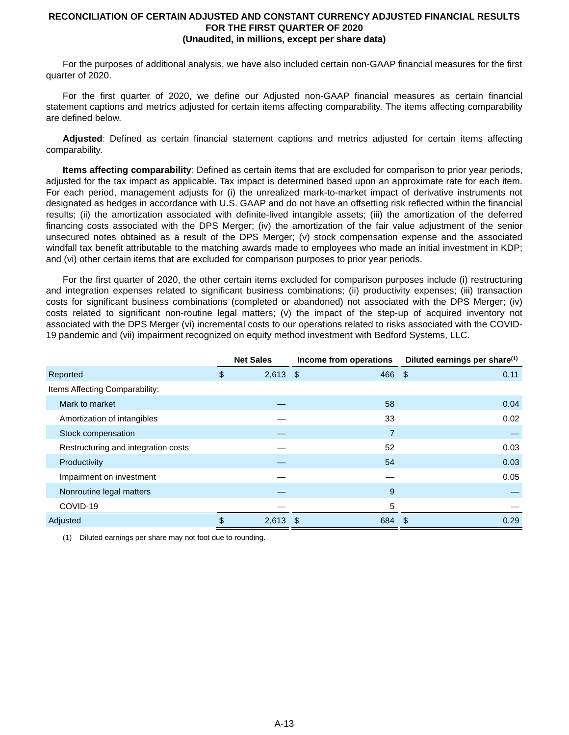#### **RECONCILIATION OF CERTAIN ADJUSTED AND CONSTANT CURRENCY ADJUSTED FINANCIAL RESULTS FOR THE FIRST QUARTER OF 2020 (Unaudited, in millions, except per share data)**

For the purposes of additional analysis, we have also included certain non-GAAP financial measures for the first quarter of 2020.

For the first quarter of 2020, we define our Adjusted non-GAAP financial measures as certain financial statement captions and metrics adjusted for certain items affecting comparability. The items affecting comparability are defined below.

**Adjusted**: Defined as certain financial statement captions and metrics adjusted for certain items affecting comparability.

**Items affecting comparability**: Defined as certain items that are excluded for comparison to prior year periods, adjusted for the tax impact as applicable. Tax impact is determined based upon an approximate rate for each item. For each period, management adjusts for (i) the unrealized mark-to-market impact of derivative instruments not designated as hedges in accordance with U.S. GAAP and do not have an offsetting risk reflected within the financial results; (ii) the amortization associated with definite-lived intangible assets; (iii) the amortization of the deferred financing costs associated with the DPS Merger; (iv) the amortization of the fair value adjustment of the senior unsecured notes obtained as a result of the DPS Merger; (v) stock compensation expense and the associated windfall tax benefit attributable to the matching awards made to employees who made an initial investment in KDP; and (vi) other certain items that are excluded for comparison purposes to prior year periods.

For the first quarter of 2020, the other certain items excluded for comparison purposes include (i) restructuring and integration expenses related to significant business combinations; (ii) productivity expenses; (iii) transaction costs for significant business combinations (completed or abandoned) not associated with the DPS Merger; (iv) costs related to significant non-routine legal matters; (v) the impact of the step-up of acquired inventory not associated with the DPS Merger (vi) incremental costs to our operations related to risks associated with the COVID-19 pandemic and (vii) impairment recognized on equity method investment with Bedford Systems, LLC.

|                                     | <b>Net Sales</b> |            | Income from operations | Diluted earnings per share <sup>(1)</sup> |  |
|-------------------------------------|------------------|------------|------------------------|-------------------------------------------|--|
| Reported                            | \$               | $2,613$ \$ | 466 \$                 | 0.11                                      |  |
| Items Affecting Comparability:      |                  |            |                        |                                           |  |
| Mark to market                      |                  |            | 58                     | 0.04                                      |  |
| Amortization of intangibles         |                  |            | 33                     | 0.02                                      |  |
| Stock compensation                  |                  |            | 7                      |                                           |  |
| Restructuring and integration costs |                  |            | 52                     | 0.03                                      |  |
| Productivity                        |                  |            | 54                     | 0.03                                      |  |
| Impairment on investment            |                  |            |                        | 0.05                                      |  |
| Nonroutine legal matters            |                  |            | 9                      |                                           |  |
| COVID-19                            |                  |            | 5                      |                                           |  |
| Adjusted                            | \$               | $2,613$ \$ | 684 \$                 | 0.29                                      |  |

(1) Diluted earnings per share may not foot due to rounding.